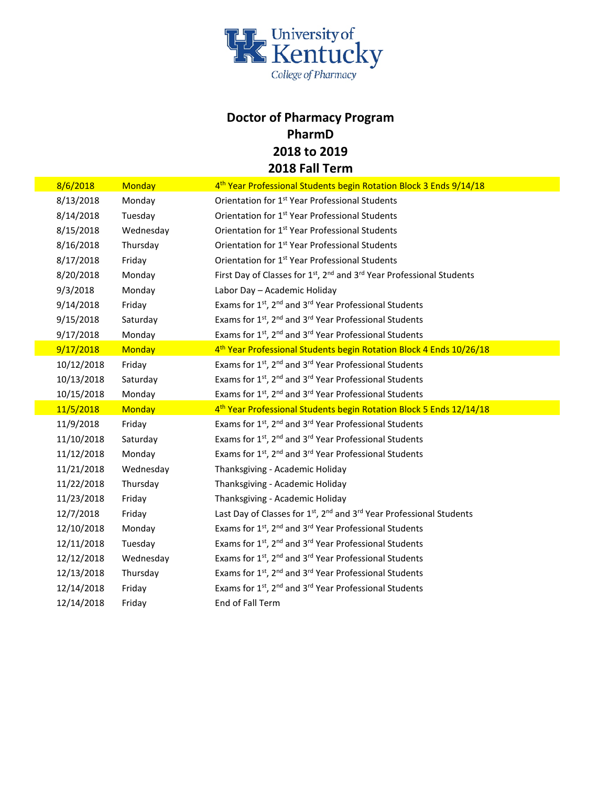

## **Doctor of Pharmacy Program PharmD 2018 to 2019 2018 Fall Term**

| 8/6/2018   | <b>Monday</b> | 4 <sup>th</sup> Year Professional Students begin Rotation Block 3 Ends 9/14/18                            |
|------------|---------------|-----------------------------------------------------------------------------------------------------------|
| 8/13/2018  | Monday        | Orientation for 1 <sup>st</sup> Year Professional Students                                                |
| 8/14/2018  | Tuesday       | Orientation for 1 <sup>st</sup> Year Professional Students                                                |
| 8/15/2018  | Wednesday     | Orientation for 1 <sup>st</sup> Year Professional Students                                                |
| 8/16/2018  | Thursday      | Orientation for 1 <sup>st</sup> Year Professional Students                                                |
| 8/17/2018  | Friday        | Orientation for 1 <sup>st</sup> Year Professional Students                                                |
| 8/20/2018  | Monday        | First Day of Classes for 1 <sup>st</sup> , 2 <sup>nd</sup> and 3 <sup>rd</sup> Year Professional Students |
| 9/3/2018   | Monday        | Labor Day - Academic Holiday                                                                              |
| 9/14/2018  | Friday        | Exams for 1 <sup>st</sup> , 2 <sup>nd</sup> and 3 <sup>rd</sup> Year Professional Students                |
| 9/15/2018  | Saturday      | Exams for 1st, 2 <sup>nd</sup> and 3 <sup>rd</sup> Year Professional Students                             |
| 9/17/2018  | Monday        | Exams for 1 <sup>st</sup> , 2 <sup>nd</sup> and 3 <sup>rd</sup> Year Professional Students                |
| 9/17/2018  | <b>Monday</b> | 4 <sup>th</sup> Year Professional Students begin Rotation Block 4 Ends 10/26/18                           |
| 10/12/2018 | Friday        | Exams for 1 <sup>st</sup> , 2 <sup>nd</sup> and 3 <sup>rd</sup> Year Professional Students                |
| 10/13/2018 | Saturday      | Exams for 1 <sup>st</sup> , 2 <sup>nd</sup> and 3 <sup>rd</sup> Year Professional Students                |
| 10/15/2018 | Monday        | Exams for 1st, 2 <sup>nd</sup> and 3 <sup>rd</sup> Year Professional Students                             |
| 11/5/2018  | <b>Monday</b> | 4 <sup>th</sup> Year Professional Students begin Rotation Block 5 Ends 12/14/18                           |
| 11/9/2018  | Friday        | Exams for 1st, 2 <sup>nd</sup> and 3 <sup>rd</sup> Year Professional Students                             |
| 11/10/2018 | Saturday      | Exams for 1 <sup>st</sup> , 2 <sup>nd</sup> and 3 <sup>rd</sup> Year Professional Students                |
| 11/12/2018 | Monday        | Exams for 1 <sup>st</sup> , 2 <sup>nd</sup> and 3 <sup>rd</sup> Year Professional Students                |
| 11/21/2018 | Wednesday     | Thanksgiving - Academic Holiday                                                                           |
| 11/22/2018 | Thursday      | Thanksgiving - Academic Holiday                                                                           |
| 11/23/2018 | Friday        | Thanksgiving - Academic Holiday                                                                           |
| 12/7/2018  | Friday        | Last Day of Classes for 1 <sup>st</sup> , 2 <sup>nd</sup> and 3 <sup>rd</sup> Year Professional Students  |
| 12/10/2018 | Monday        | Exams for 1 <sup>st</sup> , 2 <sup>nd</sup> and 3 <sup>rd</sup> Year Professional Students                |
| 12/11/2018 | Tuesday       | Exams for 1st, 2 <sup>nd</sup> and 3 <sup>rd</sup> Year Professional Students                             |
| 12/12/2018 | Wednesday     | Exams for 1 <sup>st</sup> , 2 <sup>nd</sup> and 3 <sup>rd</sup> Year Professional Students                |
| 12/13/2018 | Thursday      | Exams for 1st, 2 <sup>nd</sup> and 3 <sup>rd</sup> Year Professional Students                             |
| 12/14/2018 | Friday        | Exams for 1 <sup>st</sup> , 2 <sup>nd</sup> and 3 <sup>rd</sup> Year Professional Students                |
| 12/14/2018 | Friday        | End of Fall Term                                                                                          |